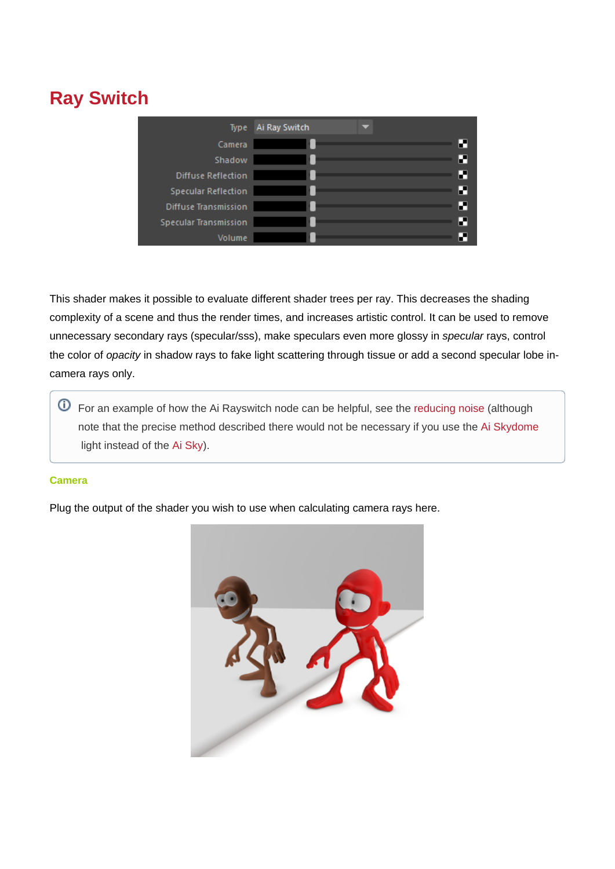# **Ray Switch**

| Type                         | Ai Ray Switch |   |
|------------------------------|---------------|---|
| Camera                       |               | И |
| Shadow                       |               | н |
| <b>Diffuse Reflection</b>    |               | И |
| <b>Specular Reflection</b>   |               | П |
| <b>Diffuse Transmission</b>  |               | И |
| <b>Specular Transmission</b> |               | И |
| Volume                       |               | ₩ |

This shader makes it possible to evaluate different shader trees per ray. This decreases the shading complexity of a scene and thus the render times, and increases artistic control. It can be used to remove unnecessary secondary rays (specular/sss), make speculars even more glossy in specular rays, control the color of opacity in shadow rays to fake light scattering through tissue or add a second specular lobe incamera rays only.

For an example of how the Ai Rayswitch node can be helpful, see the [reducing noise](https://support.solidangle.com/display/A5AFMUG/Ai+Sky+Shader#AiSkyShader-ReducingNoiseUsingTheRaySwitchNode) (although note that the precise method described there would not be necessary if you use the [Ai Skydome](https://docs.arnoldrenderer.com/display/A5AFMUG/Ai+Skydome+Light) light instead of the [Ai Sky\)](https://docs.arnoldrenderer.com/display/A5AFMUG/Ai+Sky+Shader).

# <span id="page-0-0"></span>**[Camera](#page-0-0)**

Plug the output of the shader you wish to use when calculating camera rays here.

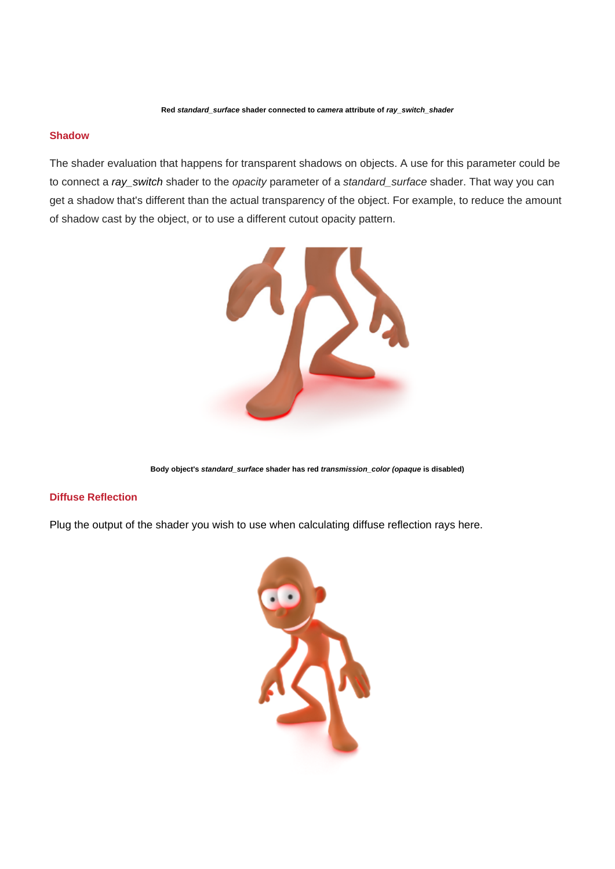#### **Shadow**

The shader evaluation that happens for transparent shadows on objects. A use for this parameter could be to connect a ray\_switch shader to the opacity parameter of a standard\_surface shader. That way you can get a shadow that's different than the actual transparency of the object. For example, to reduce the amount of shadow cast by the object, or to use a different cutout opacity pattern.



**Body object's standard\_surface shader has red transmission\_color (opaque is disabled)**

#### **Diffuse Reflection**

Plug the output of the shader you wish to use when calculating diffuse reflection rays here.

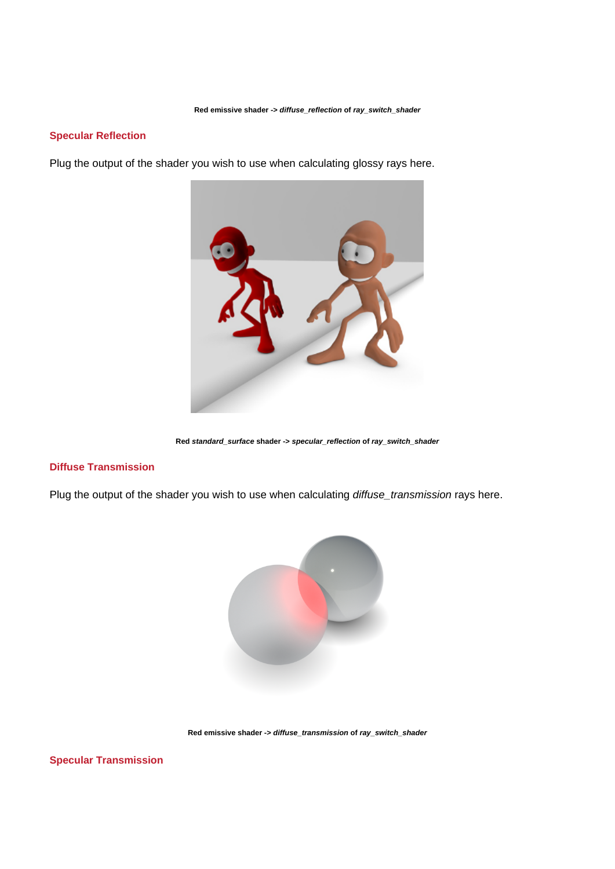**Red emissive shader -> diffuse\_reflection of ray\_switch\_shader**

## **Specular Reflection**

Plug the output of the shader you wish to use when calculating glossy rays here.



**Red standard\_surface shader -> specular\_reflection of ray\_switch\_shader**

#### **Diffuse Transmission**

Plug the output of the shader you wish to use when calculating diffuse\_transmission rays here.



**Red emissive shader -> diffuse\_transmission of ray\_switch\_shader**

**Specular Transmission**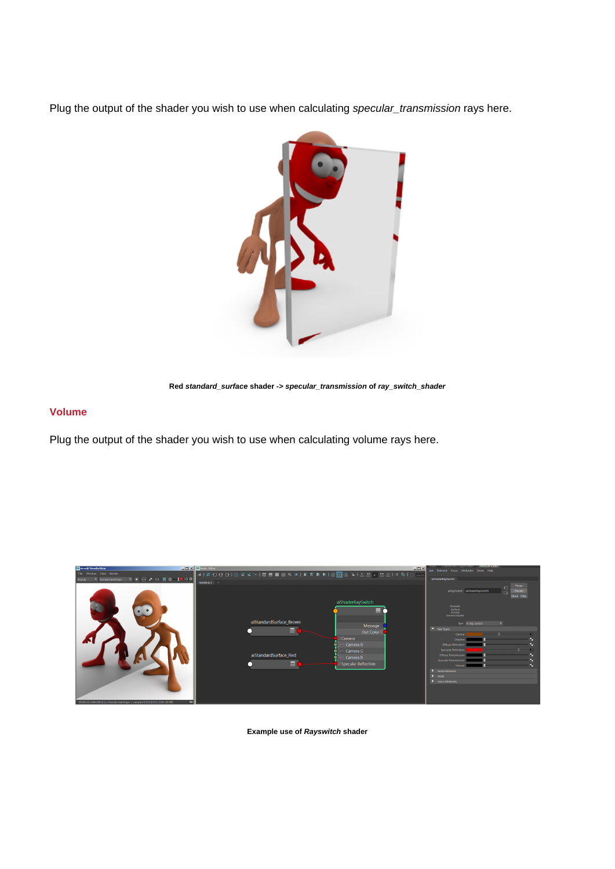Plug the output of the shader you wish to use when calculating specular\_transmission rays here.



**Red standard\_surface shader -> specular\_transmission of ray\_switch\_shader**

## **Volume**

Plug the output of the shader you wish to use when calculating volume rays here.



**Example use of Rayswitch shader**